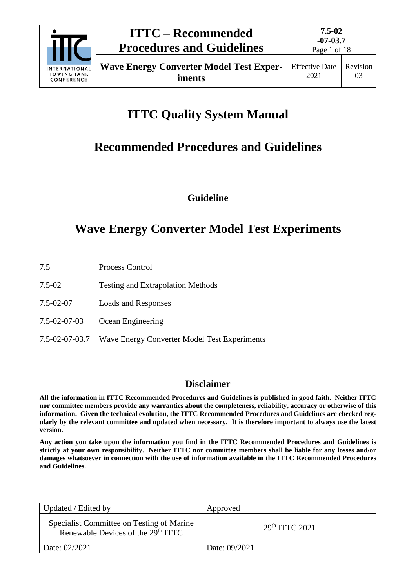

**iments**

Page 1 of 18

# **ITTC Quality System Manual**

## **Recommended Procedures and Guidelines**

**Guideline**

## **Wave Energy Converter Model Test Experiments**

- 7.5 Process Control
- 7.5-02 Testing and Extrapolation Methods
- 7.5-02-07 Loads and Responses
- 7.5-02-07-03 Ocean Engineering
- 7.5-02-07-03.7 Wave Energy Converter Model Test Experiments

## **Disclaimer**

**All the information in ITTC Recommended Procedures and Guidelines is published in good faith. Neither ITTC nor committee members provide any warranties about the completeness, reliability, accuracy or otherwise of this information. Given the technical evolution, the ITTC Recommended Procedures and Guidelines are checked regularly by the relevant committee and updated when necessary. It is therefore important to always use the latest version.**

**Any action you take upon the information you find in the ITTC Recommended Procedures and Guidelines is strictly at your own responsibility. Neither ITTC nor committee members shall be liable for any losses and/or damages whatsoever in connection with the use of information available in the ITTC Recommended Procedures and Guidelines.**

| Updated / Edited by                                                                         | Approved                   |
|---------------------------------------------------------------------------------------------|----------------------------|
| Specialist Committee on Testing of Marine<br>Renewable Devices of the 29 <sup>th</sup> ITTC | 29 <sup>th</sup> TTTC 2021 |
| Date: 02/2021                                                                               | Date: 09/2021              |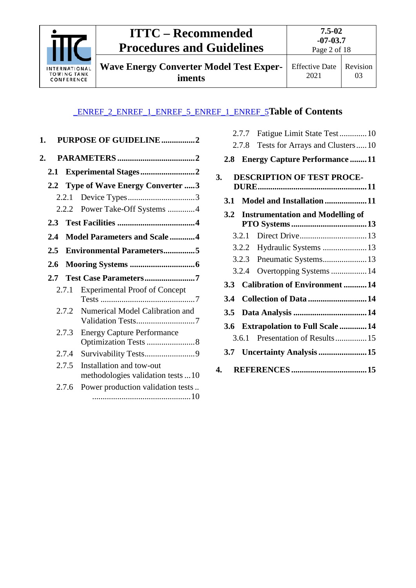

**Wave Energy Converter Model Test Experiments**

Effective Date 2021

Revision 03

## \_ENREF\_2\_ENREF\_1\_ENREF\_5\_ENREF\_1\_ENREF\_5**Table of Contents**

| 1.  |       | <b>PURPOSE OF GUIDELINE2</b>                                  |
|-----|-------|---------------------------------------------------------------|
| 2.  |       |                                                               |
| 2.1 |       | Experimental Stages2                                          |
|     |       | 2.2 Type of Wave Energy Converter 3                           |
|     | 2.2.1 |                                                               |
|     | 2.2.2 | Power Take-Off Systems 4                                      |
| 2.3 |       |                                                               |
| 2.4 |       | <b>Model Parameters and Scale 4</b>                           |
| 2.5 |       | <b>Environmental Parameters5</b>                              |
| 2.6 |       |                                                               |
| 2.7 |       | Test Case Parameters7                                         |
|     | 2.7.1 | <b>Experimental Proof of Concept</b>                          |
|     | 2.7.2 | Numerical Model Calibration and<br>Validation Tests7          |
|     | 2.7.3 | <b>Energy Capture Performance</b><br>Optimization Tests 8     |
|     | 2.7.4 | Survivability Tests9                                          |
|     | 2.7.5 | Installation and tow-out<br>methodologies validation tests 10 |
|     |       |                                                               |

|  | 2.7.7 Fatigue Limit State Test10 |  |  |
|--|----------------------------------|--|--|
|--|----------------------------------|--|--|

- 2.7.8 [Tests for Arrays and Clusters.....10](#page-10-3)
- **2.8 [Energy Capture Performance](#page-11-0) ........11**

| 3. |            |       | <b>DESCRIPTION OF TEST PROCE-</b>       |  |
|----|------------|-------|-----------------------------------------|--|
|    |            |       |                                         |  |
|    | <b>3.1</b> |       | Model and Installation11                |  |
|    | 3.2        |       | <b>Instrumentation and Modelling of</b> |  |
|    |            |       |                                         |  |
|    |            | 3.2.1 |                                         |  |
|    |            | 3.2.2 |                                         |  |
|    |            | 3.2.3 | Pneumatic Systems13                     |  |
|    |            | 3.2.4 | Overtopping Systems  14                 |  |
|    |            |       | 3.3 Calibration of Environment 14       |  |
|    | 3.4        |       | Collection of Data  14                  |  |
|    | 3.5        |       |                                         |  |
|    | 3.6        |       | <b>Extrapolation to Full Scale  14</b>  |  |
|    |            | 3.6.1 | Presentation of Results 15              |  |
|    |            |       |                                         |  |
|    | 4.         |       |                                         |  |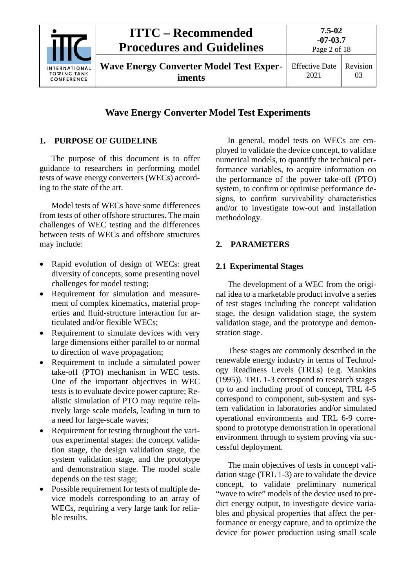

## **Wave Energy Converter Model Test Experiments**

## <span id="page-2-0"></span>**1. PURPOSE OF GUIDELINE**

The purpose of this document is to offer guidance to researchers in performing model tests of wave energy converters (WECs) according to the state of the art.

Model tests of WECs have some differences from tests of other offshore structures. The main challenges of WEC testing and the differences between tests of WECs and offshore structures may include:

- Rapid evolution of design of WECs: great diversity of concepts, some presenting novel challenges for model testing;
- Requirement for simulation and measurement of complex kinematics, material properties and fluid-structure interaction for articulated and/or flexible WECs;
- Requirement to simulate devices with very large dimensions either parallel to or normal to direction of wave propagation;
- Requirement to include a simulated power take-off (PTO) mechanism in WEC tests. One of the important objectives in WEC tests is to evaluate device power capture; Realistic simulation of PTO may require relatively large scale models, leading in turn to a need for large-scale waves;
- Requirement for testing throughout the various experimental stages: the concept validation stage, the design validation stage, the system validation stage, and the prototype and demonstration stage. The model scale depends on the test stage;
- Possible requirement for tests of multiple device models corresponding to an array of WECs, requiring a very large tank for reliable results.

In general, model tests on WECs are employed to validate the device concept, to validate numerical models, to quantify the technical performance variables, to acquire information on the performance of the power take-off (PTO) system, to confirm or optimise performance designs, to confirm survivability characteristics and/or to investigate tow-out and installation methodology.

## <span id="page-2-2"></span><span id="page-2-1"></span>**2. PARAMETERS**

## **2.1 Experimental Stages**

The development of a WEC from the original idea to a marketable product involve a series of test stages including the concept validation stage, the design validation stage, the system validation stage, and the prototype and demonstration stage.

These stages are commonly described in the renewable energy industry in terms of Technology Readiness Levels (TRLs) (e.g. Mankins (1995)). TRL 1-3 correspond to research stages up to and including proof of concept, TRL 4-5 correspond to component, sub-system and system validation in laboratories and/or simulated operational environments and TRL 6-9 correspond to prototype demonstration in operational environment through to system proving via successful deployment.

The main objectives of tests in concept validation stage (TRL 1-3) are to validate the device concept, to validate preliminary numerical "wave to wire" models of the device used to predict energy output, to investigate device variables and physical properties that affect the performance or energy capture, and to optimize the device for power production using small scale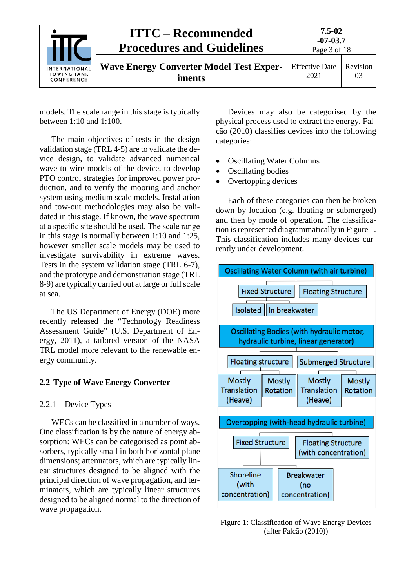|                                                   | <b>ITTC – Recommended</b><br><b>Procedures and Guidelines</b> | $7.5 - 02$<br>$-07-03.7$<br>Page 3 of 18 |                |
|---------------------------------------------------|---------------------------------------------------------------|------------------------------------------|----------------|
| <b>INTERNATIONAL</b><br>TOWING TANK<br>CONFERENCE | <b>Wave Energy Converter Model Test Exper-</b><br>iments      | <b>Effective Date</b><br>2021            | Revision<br>03 |

models. The scale range in this stage is typically between 1:10 and 1:100.

The main objectives of tests in the design validation stage (TRL 4-5) are to validate the device design, to validate advanced numerical wave to wire models of the device, to develop PTO control strategies for improved power production, and to verify the mooring and anchor system using medium scale models. Installation and tow-out methodologies may also be validated in this stage. If known, the wave spectrum at a specific site should be used. The scale range in this stage is normally between 1:10 and 1:25, however smaller scale models may be used to investigate survivability in extreme waves. Tests in the system validation stage (TRL 6-7), and the prototype and demonstration stage (TRL 8-9) are typically carried out at large or full scale at sea.

The US Department of Energy (DOE) more recently released the "Technology Readiness Assessment Guide" (U.S. Department of Energy, 2011), a tailored version of the NASA TRL model more relevant to the renewable energy community.

## <span id="page-3-1"></span><span id="page-3-0"></span>**2.2 Type of Wave Energy Converter**

## 2.2.1 Device Types

WECs can be classified in a number of ways. One classification is by the nature of energy absorption: WECs can be categorised as point absorbers, typically small in both horizontal plane dimensions; attenuators, which are typically linear structures designed to be aligned with the principal direction of wave propagation, and terminators, which are typically linear structures designed to be aligned normal to the direction of wave propagation.

Devices may also be categorised by the physical process used to extract the energy. Falcão (2010) classifies devices into the following categories:

- Oscillating Water Columns
- Oscillating bodies
- Overtopping devices

Each of these categories can then be broken down by location (e.g. floating or submerged) and then by mode of operation. The classification is represented diagrammatically in [Figure](#page-3-2) 1. This classification includes many devices currently under development.



<span id="page-3-2"></span>Figure 1: Classification of Wave Energy Devices (after Falcão (2010))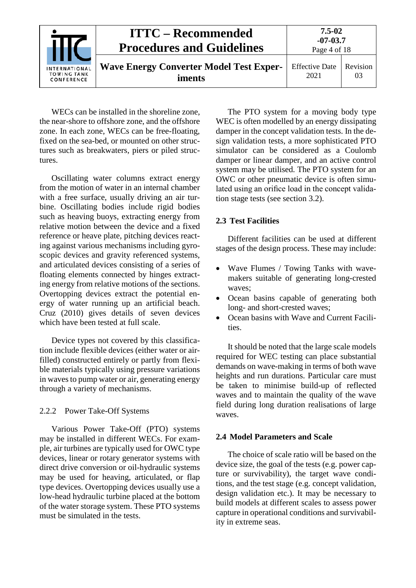| INTERNATIONAL<br><b>TOWING TANK</b><br>CONFERENCE | <b>ITTC – Recommended</b><br><b>Procedures and Guidelines</b> | $7.5 - 02$<br>$-07-03.7$<br>Page 4 of 18 |                |
|---------------------------------------------------|---------------------------------------------------------------|------------------------------------------|----------------|
|                                                   | <b>Wave Energy Converter Model Test Exper-</b><br>iments      | <b>Effective Date</b><br>2021            | Revision<br>03 |

WECs can be installed in the shoreline zone, the near-shore to offshore zone, and the offshore zone. In each zone, WECs can be free-floating, fixed on the sea-bed, or mounted on other structures such as breakwaters, piers or piled structures.

Oscillating water columns extract energy from the motion of water in an internal chamber with a free surface, usually driving an air turbine. Oscillating bodies include rigid bodies such as heaving buoys, extracting energy from relative motion between the device and a fixed reference or heave plate, pitching devices reacting against various mechanisms including gyroscopic devices and gravity referenced systems, and articulated devices consisting of a series of floating elements connected by hinges extracting energy from relative motions of the sections. Overtopping devices extract the potential energy of water running up an artificial beach. Cruz (2010) gives details of seven devices which have been tested at full scale.

Device types not covered by this classification include flexible devices (either water or airfilled) constructed entirely or partly from flexible materials typically using pressure variations in waves to pump water or air, generating energy through a variety of mechanisms.

## <span id="page-4-0"></span>2.2.2 Power Take-Off Systems

Various Power Take-Off (PTO) systems may be installed in different WECs. For example, air turbines are typically used for OWC type devices, linear or rotary generator systems with direct drive conversion or oil-hydraulic systems may be used for heaving, articulated, or flap type devices. Overtopping devices usually use a low-head hydraulic turbine placed at the bottom of the water storage system. These PTO systems must be simulated in the tests.

The PTO system for a moving body type WEC is often modelled by an energy dissipating damper in the concept validation tests. In the design validation tests, a more sophisticated PTO simulator can be considered as a Coulomb damper or linear damper, and an active control system may be utilised. The PTO system for an OWC or other pneumatic device is often simulated using an orifice load in the concept validation stage tests (see section [3.2\)](#page-13-0).

## <span id="page-4-1"></span>**2.3 Test Facilities**

Different facilities can be used at different stages of the design process. These may include:

- Wave Flumes / Towing Tanks with wavemakers suitable of generating long-crested waves;
- Ocean basins capable of generating both long- and short-crested waves;
- Ocean basins with Wave and Current Facilities.

It should be noted that the large scale models required for WEC testing can place substantial demands on wave-making in terms of both wave heights and run durations. Particular care must be taken to minimise build-up of reflected waves and to maintain the quality of the wave field during long duration realisations of large waves.

## <span id="page-4-2"></span>**2.4 Model Parameters and Scale**

The choice of scale ratio will be based on the device size, the goal of the tests (e.g. power capture or survivability), the target wave conditions, and the test stage (e.g. concept validation, design validation etc.). It may be necessary to build models at different scales to assess power capture in operational conditions and survivability in extreme seas.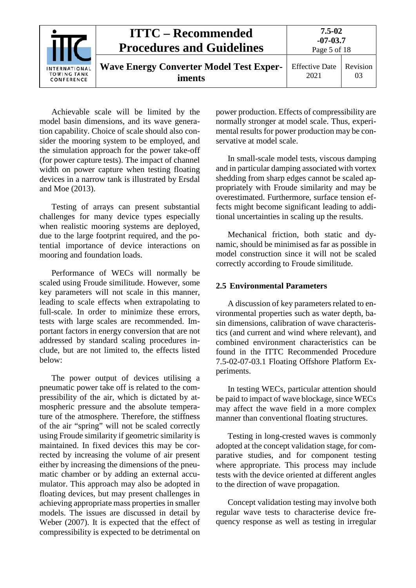

Achievable scale will be limited by the model basin dimensions, and its wave generation capability. Choice of scale should also consider the mooring system to be employed, and the simulation approach for the power take-off (for power capture tests). The impact of channel width on power capture when testing floating devices in a narrow tank is illustrated by Ersdal and Moe (2013).

Testing of arrays can present substantial challenges for many device types especially when realistic mooring systems are deployed, due to the large footprint required, and the potential importance of device interactions on mooring and foundation loads.

Performance of WECs will normally be scaled using Froude similitude. However, some key parameters will not scale in this manner, leading to scale effects when extrapolating to full-scale. In order to minimize these errors, tests with large scales are recommended. Important factors in energy conversion that are not addressed by standard scaling procedures include, but are not limited to, the effects listed below:

The power output of devices utilising a pneumatic power take off is related to the compressibility of the air, which is dictated by atmospheric pressure and the absolute temperature of the atmosphere. Therefore, the stiffness of the air "spring" will not be scaled correctly using Froude similarity if geometric similarity is maintained. In fixed devices this may be corrected by increasing the volume of air present either by increasing the dimensions of the pneumatic chamber or by adding an external accumulator. This approach may also be adopted in floating devices, but may present challenges in achieving appropriate mass properties in smaller models. The issues are discussed in detail by Weber (2007). It is expected that the effect of compressibility is expected to be detrimental on power production. Effects of compressibility are normally stronger at model scale. Thus, experimental results for power production may be conservative at model scale.

In small-scale model tests, viscous damping and in particular damping associated with vortex shedding from sharp edges cannot be scaled appropriately with Froude similarity and may be overestimated. Furthermore, surface tension effects might become significant leading to additional uncertainties in scaling up the results.

Mechanical friction, both static and dynamic, should be minimised as far as possible in model construction since it will not be scaled correctly according to Froude similitude.

#### <span id="page-5-0"></span>**2.5 Environmental Parameters**

A discussion of key parameters related to environmental properties such as water depth, basin dimensions, calibration of wave characteristics (and current and wind where relevant), and combined environment characteristics can be found in the ITTC Recommended Procedure 7.5-02-07-03.1 Floating Offshore Platform Experiments.

In testing WECs, particular attention should be paid to impact of wave blockage, since WECs may affect the wave field in a more complex manner than conventional floating structures.

Testing in long-crested waves is commonly adopted at the concept validation stage, for comparative studies, and for component testing where appropriate. This process may include tests with the device oriented at different angles to the direction of wave propagation.

Concept validation testing may involve both regular wave tests to characterise device frequency response as well as testing in irregular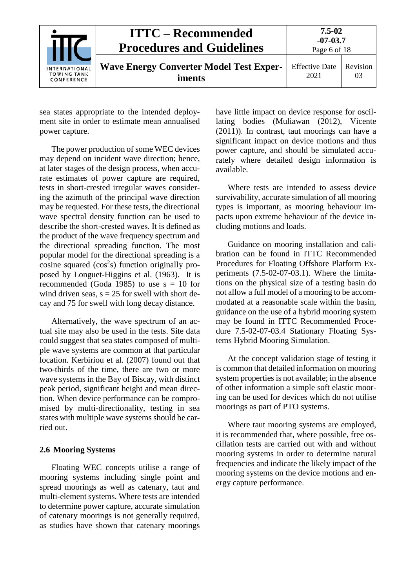|                                                   | <b>ITTC – Recommended</b><br><b>Procedures and Guidelines</b> | $7.5 - 02$<br>$-07-03.7$<br>Page 6 of 18 |                |
|---------------------------------------------------|---------------------------------------------------------------|------------------------------------------|----------------|
| <b>INTERNATIONAL</b><br>TOWING TANK<br>CONFERENCE | <b>Wave Energy Converter Model Test Exper-</b><br>iments      | <b>Effective Date</b><br>2021            | Revision<br>03 |

sea states appropriate to the intended deployment site in order to estimate mean annualised power capture.

The power production of some WEC devices may depend on incident wave direction; hence, at later stages of the design process, when accurate estimates of power capture are required, tests in short-crested irregular waves considering the azimuth of the principal wave direction may be requested. For these tests, the directional wave spectral density function can be used to describe the short-crested waves. It is defined as the product of the wave frequency spectrum and the directional spreading function. The most popular model for the directional spreading is a cosine squared  $(cos<sup>2</sup>s)$  function originally proposed by Longuet-Higgins et al. (1963). It is recommended (Goda 1985) to use  $s = 10$  for wind driven seas,  $s = 25$  for swell with short decay and 75 for swell with long decay distance.

Alternatively, the wave spectrum of an actual site may also be used in the tests. Site data could suggest that sea states composed of multiple wave systems are common at that particular location. Kerbiriou et al. (2007) found out that two-thirds of the time, there are two or more wave systems in the Bay of Biscay, with distinct peak period, significant height and mean direction. When device performance can be compromised by multi-directionality, testing in sea states with multiple wave systems should be carried out.

#### <span id="page-6-0"></span>**2.6 Mooring Systems**

Floating WEC concepts utilise a range of mooring systems including single point and spread moorings as well as catenary, taut and multi-element systems. Where tests are intended to determine power capture, accurate simulation of catenary moorings is not generally required, as studies have shown that catenary moorings

have little impact on device response for oscillating bodies (Muliawan (2012), Vicente (2011)). In contrast, taut moorings can have a significant impact on device motions and thus power capture, and should be simulated accurately where detailed design information is available.

Where tests are intended to assess device survivability, accurate simulation of all mooring types is important, as mooring behaviour impacts upon extreme behaviour of the device including motions and loads.

Guidance on mooring installation and calibration can be found in ITTC Recommended Procedures for Floating Offshore Platform Experiments (7.5-02-07-03.1). Where the limitations on the physical size of a testing basin do not allow a full model of a mooring to be accommodated at a reasonable scale within the basin, guidance on the use of a hybrid mooring system may be found in ITTC Recommended Procedure 7.5-02-07-03.4 Stationary Floating Systems Hybrid Mooring Simulation.

At the concept validation stage of testing it is common that detailed information on mooring system properties is not available; in the absence of other information a simple soft elastic mooring can be used for devices which do not utilise moorings as part of PTO systems.

Where taut mooring systems are employed, it is recommended that, where possible, free oscillation tests are carried out with and without mooring systems in order to determine natural frequencies and indicate the likely impact of the mooring systems on the device motions and energy capture performance.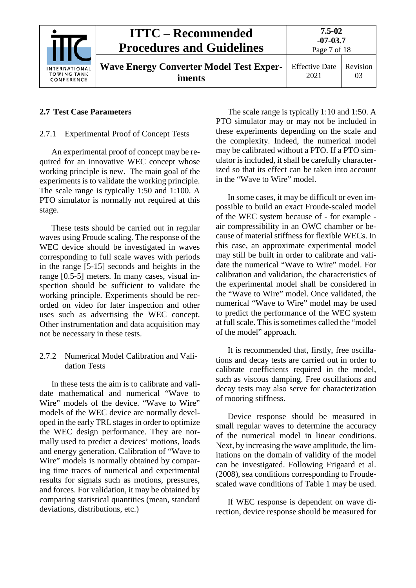

## <span id="page-7-1"></span><span id="page-7-0"></span>**2.7 Test Case Parameters**

## 2.7.1 Experimental Proof of Concept Tests

An experimental proof of concept may be required for an innovative WEC concept whose working principle is new. The main goal of the experiments is to validate the working principle. The scale range is typically 1:50 and 1:100. A PTO simulator is normally not required at this stage.

These tests should be carried out in regular waves using Froude scaling. The response of the WEC device should be investigated in waves corresponding to full scale waves with periods in the range [5-15] seconds and heights in the range [0.5-5] meters. In many cases, visual inspection should be sufficient to validate the working principle. Experiments should be recorded on video for later inspection and other uses such as advertising the WEC concept. Other instrumentation and data acquisition may not be necessary in these tests.

## <span id="page-7-2"></span>2.7.2 Numerical Model Calibration and Validation Tests

In these tests the aim is to calibrate and validate mathematical and numerical "Wave to Wire" models of the device. "Wave to Wire" models of the WEC device are normally developed in the early TRL stages in order to optimize the WEC design performance. They are normally used to predict a devices' motions, loads and energy generation. Calibration of "Wave to Wire" models is normally obtained by comparing time traces of numerical and experimental results for signals such as motions, pressures, and forces. For validation, it may be obtained by comparing statistical quantities (mean, standard deviations, distributions, etc.)

The scale range is typically 1:10 and 1:50. A PTO simulator may or may not be included in these experiments depending on the scale and the complexity. Indeed, the numerical model may be calibrated without a PTO. If a PTO simulator is included, it shall be carefully characterized so that its effect can be taken into account in the "Wave to Wire" model.

In some cases, it may be difficult or even impossible to build an exact Froude-scaled model of the WEC system because of - for example air compressibility in an OWC chamber or because of material stiffness for flexible WECs. In this case, an approximate experimental model may still be built in order to calibrate and validate the numerical "Wave to Wire" model. For calibration and validation, the characteristics of the experimental model shall be considered in the "Wave to Wire" model. Once validated, the numerical "Wave to Wire" model may be used to predict the performance of the WEC system at full scale. This is sometimes called the "model of the model" approach.

It is recommended that, firstly, free oscillations and decay tests are carried out in order to calibrate coefficients required in the model, such as viscous damping. Free oscillations and decay tests may also serve for characterization of mooring stiffness.

Device response should be measured in small regular waves to determine the accuracy of the numerical model in linear conditions. Next, by increasing the wave amplitude, the limitations on the domain of validity of the model can be investigated. Following Frigaard et al. (2008), sea conditions corresponding to Froudescaled wave conditions of [Table](#page-7-3) 1 may be used.

<span id="page-7-3"></span>If WEC response is dependent on wave direction, device response should be measured for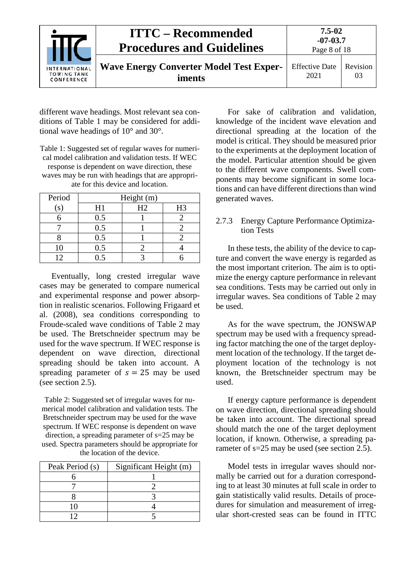| <b>INTERNATIONAL</b><br><b>TOWING TANK</b><br>CONFERENCE | <b>ITTC – Recommended</b><br><b>Procedures and Guidelines</b> | $7.5 - 02$<br>$-07 - 03.7$<br>Page 8 of 18 |                |
|----------------------------------------------------------|---------------------------------------------------------------|--------------------------------------------|----------------|
|                                                          | <b>Wave Energy Converter Model Test Exper-</b><br>iments      | <b>Effective Date</b><br>2021              | Revision<br>03 |

different wave headings. Most relevant sea conditions of [Table](#page-7-3) 1 may be considered for additional wave headings of 10° and 30°.

Table 1: Suggested set of regular waves for numerical model calibration and validation tests. If WEC response is dependent on wave direction, these waves may be run with headings that are appropriate for this device and location.

| Period       | Height (m) |    |                |  |
|--------------|------------|----|----------------|--|
| $\mathbf{s}$ | H1         | H2 | H <sub>3</sub> |  |
|              | 0.5        |    |                |  |
|              | 0.5        |    |                |  |
|              | 0.5        |    |                |  |
| 10           | 0.5        |    |                |  |
|              |            |    |                |  |

Eventually, long crested irregular wave cases may be generated to compare numerical and experimental response and power absorption in realistic scenarios. Following Frigaard et al. (2008), sea conditions corresponding to Froude-scaled wave conditions of [Table 2](#page-8-1) may be used. The Bretschneider spectrum may be used for the wave spectrum. If WEC response is dependent on wave direction, directional spreading should be taken into account. A spreading parameter of  $s = 25$  may be used (see section [2.5\)](#page-5-0).

<span id="page-8-1"></span>Table 2: Suggested set of irregular waves for numerical model calibration and validation tests. The Bretschneider spectrum may be used for the wave spectrum. If WEC response is dependent on wave direction, a spreading parameter of s=25 may be used. Spectra parameters should be appropriate for the location of the device.

| Peak Period (s) | Significant Height (m) |
|-----------------|------------------------|
|                 |                        |
|                 |                        |
|                 |                        |
| ו ו             |                        |
|                 |                        |

For sake of calibration and validation, knowledge of the incident wave elevation and directional spreading at the location of the model is critical. They should be measured prior to the experiments at the deployment location of the model. Particular attention should be given to the different wave components. Swell components may become significant in some locations and can have different directions than wind generated waves.

## <span id="page-8-0"></span>2.7.3 Energy Capture Performance Optimization Tests

In these tests, the ability of the device to capture and convert the wave energy is regarded as the most important criterion. The aim is to optimize the energy capture performance in relevant sea conditions. Tests may be carried out only in irregular waves. Sea conditions of [Table 2](#page-8-1) may be used.

As for the wave spectrum, the JONSWAP spectrum may be used with a frequency spreading factor matching the one of the target deployment location of the technology. If the target deployment location of the technology is not known, the Bretschneider spectrum may be used.

If energy capture performance is dependent on wave direction, directional spreading should be taken into account. The directional spread should match the one of the target deployment location, if known. Otherwise, a spreading parameter of s=25 may be used (see section [2.5\)](#page-5-0).

Model tests in irregular waves should normally be carried out for a duration corresponding to at least 30 minutes at full scale in order to gain statistically valid results. Details of procedures for simulation and measurement of irregular short-crested seas can be found in ITTC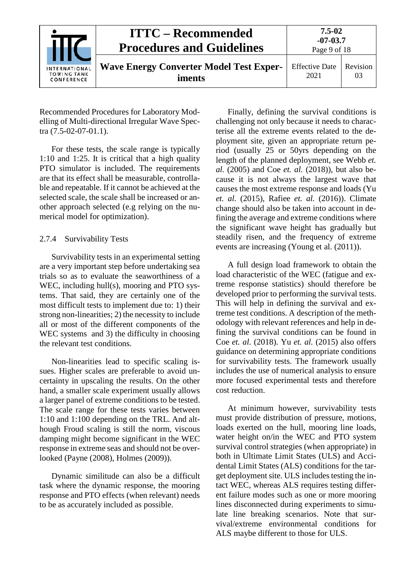|                                                   | <b>ITTC – Recommended</b><br><b>Procedures and Guidelines</b> | $7.5 - 02$<br>$-07 - 03.7$<br>Page 9 of 18 |                |
|---------------------------------------------------|---------------------------------------------------------------|--------------------------------------------|----------------|
| INTERNATIONAL<br><b>TOWING TANK</b><br>CONFERENCE | <b>Wave Energy Converter Model Test Exper-</b><br>iments      | <b>Effective Date</b><br>2021              | Revision<br>03 |

Recommended Procedures for Laboratory Modelling of Multi-directional Irregular Wave Spectra (7.5-02-07-01.1).

For these tests, the scale range is typically 1:10 and 1:25. It is critical that a high quality PTO simulator is included. The requirements are that its effect shall be measurable, controllable and repeatable. If it cannot be achieved at the selected scale, the scale shall be increased or another approach selected (e.g relying on the numerical model for optimization).

## <span id="page-9-0"></span>2.7.4 Survivability Tests

Survivability tests in an experimental setting are a very important step before undertaking sea trials so as to evaluate the seaworthiness of a WEC, including hull(s), mooring and PTO systems. That said, they are certainly one of the most difficult tests to implement due to: 1) their strong non-linearities; 2) the necessity to include all or most of the different components of the WEC systems and 3) the difficulty in choosing the relevant test conditions.

Non-linearities lead to specific scaling issues. Higher scales are preferable to avoid uncertainty in upscaling the results. On the other hand, a smaller scale experiment usually allows a larger panel of extreme conditions to be tested. The scale range for these tests varies between 1:10 and 1:100 depending on the TRL. And although Froud scaling is still the norm, viscous damping might become significant in the WEC response in extreme seas and should not be overlooked (Payne (2008), Holmes (2009)).

Dynamic similitude can also be a difficult task where the dynamic response, the mooring response and PTO effects (when relevant) needs to be as accurately included as possible.

Finally, defining the survival conditions is challenging not only because it needs to characterise all the extreme events related to the deployment site, given an appropriate return period (usually 25 or 50yrs depending on the length of the planned deployment, see Webb *et. al.* (2005) and Coe *et. al.* (2018)), but also because it is not always the largest wave that causes the most extreme response and loads (Yu *et. al.* (2015), Rafiee *et. al.* (2016)). Climate change should also be taken into account in defining the average and extreme conditions where the significant wave height has gradually but steadily risen, and the frequency of extreme events are increasing (Young et al. (2011)).

A full design load framework to obtain the load characteristic of the WEC (fatigue and extreme response statistics) should therefore be developed prior to performing the survival tests. This will help in defining the survival and extreme test conditions. A description of the methodology with relevant references and help in defining the survival conditions can be found in Coe *et. al.* (2018). Yu *et. al.* (2015) also offers guidance on determining appropriate conditions for survivability tests. The framework usually includes the use of numerical analysis to ensure more focused experimental tests and therefore cost reduction.

At minimum however, survivability tests must provide distribution of pressure, motions, loads exerted on the hull, mooring line loads, water height on/in the WEC and PTO system survival control strategies (when appropriate) in both in Ultimate Limit States (ULS) and Accidental Limit States (ALS) conditions for the target deployment site. ULS includes testing the intact WEC, whereas ALS requires testing different failure modes such as one or more mooring lines disconnected during experiments to simulate line breaking scenarios. Note that survival/extreme environmental conditions for ALS maybe different to those for ULS.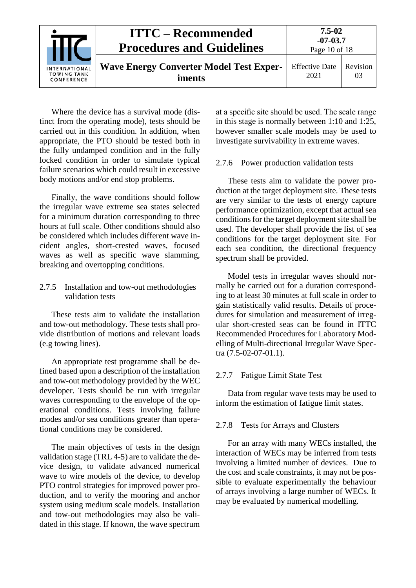

Where the device has a survival mode (distinct from the operating mode), tests should be carried out in this condition. In addition, when appropriate, the PTO should be tested both in the fully undamped condition and in the fully locked condition in order to simulate typical failure scenarios which could result in excessive body motions and/or end stop problems.

Finally, the wave conditions should follow the irregular wave extreme sea states selected for a minimum duration corresponding to three hours at full scale. Other conditions should also be considered which includes different wave incident angles, short-crested waves, focused waves as well as specific wave slamming, breaking and overtopping conditions.

## <span id="page-10-0"></span>2.7.5 Installation and tow-out methodologies validation tests

These tests aim to validate the installation and tow-out methodology. These tests shall provide distribution of motions and relevant loads (e.g towing lines).

An appropriate test programme shall be defined based upon a description of the installation and tow-out methodology provided by the WEC developer. Tests should be run with irregular waves corresponding to the envelope of the operational conditions. Tests involving failure modes and/or sea conditions greater than operational conditions may be considered.

The main objectives of tests in the design validation stage (TRL 4-5) are to validate the device design, to validate advanced numerical wave to wire models of the device, to develop PTO control strategies for improved power production, and to verify the mooring and anchor system using medium scale models. Installation and tow-out methodologies may also be validated in this stage. If known, the wave spectrum

at a specific site should be used. The scale range in this stage is normally between 1:10 and 1:25. however smaller scale models may be used to investigate survivability in extreme waves.

#### <span id="page-10-1"></span>2.7.6 Power production validation tests

These tests aim to validate the power production at the target deployment site. These tests are very similar to the tests of energy capture performance optimization, except that actual sea conditions for the target deployment site shall be used. The developer shall provide the list of sea conditions for the target deployment site. For each sea condition, the directional frequency spectrum shall be provided.

Model tests in irregular waves should normally be carried out for a duration corresponding to at least 30 minutes at full scale in order to gain statistically valid results. Details of procedures for simulation and measurement of irregular short-crested seas can be found in ITTC Recommended Procedures for Laboratory Modelling of Multi-directional Irregular Wave Spectra (7.5-02-07-01.1).

#### <span id="page-10-2"></span>2.7.7 Fatigue Limit State Test

Data from regular wave tests may be used to inform the estimation of fatigue limit states.

#### <span id="page-10-3"></span>2.7.8 Tests for Arrays and Clusters

For an array with many WECs installed, the interaction of WECs may be inferred from tests involving a limited number of devices. Due to the cost and scale constraints, it may not be possible to evaluate experimentally the behaviour of arrays involving a large number of WECs. It may be evaluated by numerical modelling.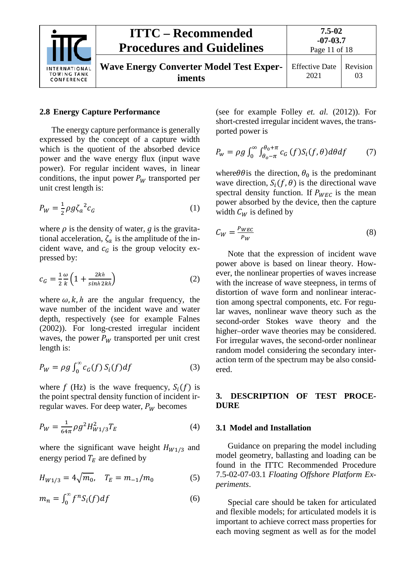

#### <span id="page-11-0"></span>**2.8 Energy Capture Performance**

The energy capture performance is generally expressed by the concept of a capture width which is the quotient of the absorbed device power and the wave energy flux (input wave power). For regular incident waves, in linear conditions, the input power  $P_W$  transported per unit crest length is:

$$
P_W = \frac{1}{2} \rho g \zeta_a^2 c_G \tag{1}
$$

where  $\rho$  is the density of water,  $g$  is the gravitational acceleration,  $\zeta_a$  is the amplitude of the incident wave, and  $c_G$  is the group velocity expressed by:

$$
c_G = \frac{1}{2} \frac{\omega}{k} \left( 1 + \frac{2kh}{\sinh 2kh} \right) \tag{2}
$$

where  $\omega$ ,  $k$ ,  $h$  are the angular frequency, the wave number of the incident wave and water depth, respectively (see for example Falnes (2002)). For long-crested irregular incident waves, the power  $P_W$  transported per unit crest length is:

$$
P_W = \rho g \int_0^\infty c_G(f) S_i(f) df \tag{3}
$$

where f (Hz) is the wave frequency,  $S_i(f)$  is the point spectral density function of incident irregular waves. For deep water,  $P_W$  becomes

$$
P_W = \frac{1}{64\pi} \rho g^2 H_{W1/3}^2 T_E \tag{4}
$$

where the significant wave height  $H_{W1/3}$  and energy period  $T_E$  are defined by

$$
H_{W1/3} = 4\sqrt{m_0}, \quad T_E = m_{-1}/m_0 \tag{5}
$$

$$
m_n = \int_0^\infty f^n S_i(f) df \tag{6}
$$

(see for example Folley *et. al.* (2012)). For short-crested irregular incident waves, the transported power is

$$
P_{w} = \rho g \int_0^{\infty} \int_{\theta_0 - \pi}^{\theta_0 + \pi} c_G(f) S_i(f, \theta) d\theta df \tag{7}
$$

where  $\theta \theta$  is the predominant wave direction,  $S_i(f, \theta)$  is the directional wave spectral density function. If  $P_{WEC}$  is the mean power absorbed by the device, then the capture width  $C_W$  is defined by

$$
C_W = \frac{P_{WEC}}{P_W} \tag{8}
$$

Note that the expression of incident wave power above is based on linear theory. However, the nonlinear properties of waves increase with the increase of wave steepness, in terms of distortion of wave form and nonlinear interaction among spectral components, etc. For regular waves, nonlinear wave theory such as the second-order Stokes wave theory and the higher–order wave theories may be considered. For irregular waves, the second-order nonlinear random model considering the secondary interaction term of the spectrum may be also considered.

#### <span id="page-11-1"></span>**3. DESCRIPTION OF TEST PROCE-DURE**

#### <span id="page-11-2"></span>**3.1 Model and Installation**

Guidance on preparing the model including model geometry, ballasting and loading can be found in the ITTC Recommended Procedure 7.5-02-07-03.1 *Floating Offshore Platform Experiments*.

Special care should be taken for articulated and flexible models; for articulated models it is important to achieve correct mass properties for each moving segment as well as for the model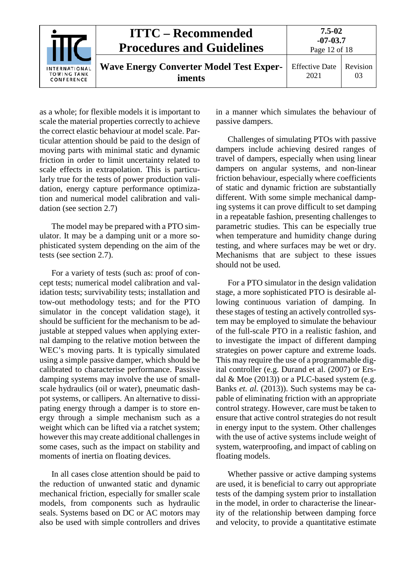| <b>INTERNATIONAL</b><br><b>TOWING TANK</b><br>CONFERENCE | <b>ITTC – Recommended</b><br><b>Procedures and Guidelines</b> | $7.5 - 02$<br>$-07-03.7$<br>Page 12 of 18 |                |
|----------------------------------------------------------|---------------------------------------------------------------|-------------------------------------------|----------------|
|                                                          | <b>Wave Energy Converter Model Test Exper-</b><br>iments      | <b>Effective Date</b><br>2021             | Revision<br>03 |

as a whole; for flexible models it is important to scale the material properties correctly to achieve the correct elastic behaviour at model scale. Particular attention should be paid to the design of moving parts with minimal static and dynamic friction in order to limit uncertainty related to scale effects in extrapolation. This is particularly true for the tests of power production validation, energy capture performance optimization and numerical model calibration and validation (see section [2.7\)](#page-7-0)

The model may be prepared with a PTO simulator. It may be a damping unit or a more sophisticated system depending on the aim of the tests (see section [2.7\)](#page-7-0).

For a variety of tests (such as: proof of concept tests; numerical model calibration and validation tests; survivability tests; installation and tow-out methodology tests; and for the PTO simulator in the concept validation stage), it should be sufficient for the mechanism to be adjustable at stepped values when applying external damping to the relative motion between the WEC's moving parts. It is typically simulated using a simple passive damper, which should be calibrated to characterise performance. Passive damping systems may involve the use of smallscale hydraulics (oil or water), pneumatic dashpot systems, or callipers. An alternative to dissipating energy through a damper is to store energy through a simple mechanism such as a weight which can be lifted via a ratchet system; however this may create additional challenges in some cases, such as the impact on stability and moments of inertia on floating devices.

In all cases close attention should be paid to the reduction of unwanted static and dynamic mechanical friction, especially for smaller scale models, from components such as hydraulic seals. Systems based on DC or AC motors may also be used with simple controllers and drives

in a manner which simulates the behaviour of passive dampers.

Challenges of simulating PTOs with passive dampers include achieving desired ranges of travel of dampers, especially when using linear dampers on angular systems, and non-linear friction behaviour, especially where coefficients of static and dynamic friction are substantially different. With some simple mechanical damping systems it can prove difficult to set damping in a repeatable fashion, presenting challenges to parametric studies. This can be especially true when temperature and humidity change during testing, and where surfaces may be wet or dry. Mechanisms that are subject to these issues should not be used.

For a PTO simulator in the design validation stage, a more sophisticated PTO is desirable allowing continuous variation of damping. In these stages of testing an actively controlled system may be employed to simulate the behaviour of the full-scale PTO in a realistic fashion, and to investigate the impact of different damping strategies on power capture and extreme loads. This may require the use of a programmable digital controller (e.g. Durand et al. (2007) or Ersdal  $&$  Moe (2013)) or a PLC-based system (e.g. Banks *et. al.* (2013)). Such systems may be capable of eliminating friction with an appropriate control strategy. However, care must be taken to ensure that active control strategies do not result in energy input to the system. Other challenges with the use of active systems include weight of system, waterproofing, and impact of cabling on floating models.

Whether passive or active damping systems are used, it is beneficial to carry out appropriate tests of the damping system prior to installation in the model, in order to characterise the linearity of the relationship between damping force and velocity, to provide a quantitative estimate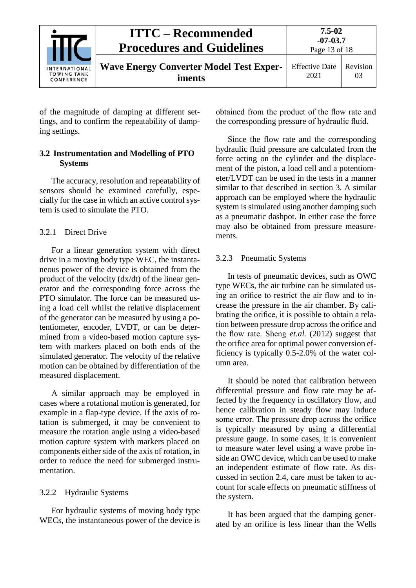

of the magnitude of damping at different settings, and to confirm the repeatability of damping settings.

## <span id="page-13-0"></span>**3.2 Instrumentation and Modelling of PTO Systems**

The accuracy, resolution and repeatability of sensors should be examined carefully, especially for the case in which an active control system is used to simulate the PTO.

## <span id="page-13-1"></span>3.2.1 Direct Drive

For a linear generation system with direct drive in a moving body type WEC, the instantaneous power of the device is obtained from the product of the velocity (dx/dt) of the linear generator and the corresponding force across the PTO simulator. The force can be measured using a load cell whilst the relative displacement of the generator can be measured by using a potentiometer, encoder, LVDT, or can be determined from a video-based motion capture system with markers placed on both ends of the simulated generator. The velocity of the relative motion can be obtained by differentiation of the measured displacement.

A similar approach may be employed in cases where a rotational motion is generated, for example in a flap-type device. If the axis of rotation is submerged, it may be convenient to measure the rotation angle using a video-based motion capture system with markers placed on components either side of the axis of rotation, in order to reduce the need for submerged instrumentation.

## <span id="page-13-2"></span>3.2.2 Hydraulic Systems

For hydraulic systems of moving body type WECs, the instantaneous power of the device is obtained from the product of the flow rate and the corresponding pressure of hydraulic fluid.

Since the flow rate and the corresponding hydraulic fluid pressure are calculated from the force acting on the cylinder and the displacement of the piston, a load cell and a potentiometer/LVDT can be used in the tests in a manner similar to that described in [section 3.](#page-13-1) A similar approach can be employed where the hydraulic system is simulated using another damping such as a pneumatic dashpot. In either case the force may also be obtained from pressure measurements.

## <span id="page-13-3"></span>3.2.3 Pneumatic Systems

In tests of pneumatic devices, such as OWC type WECs, the air turbine can be simulated using an orifice to restrict the air flow and to increase the pressure in the air chamber. By calibrating the orifice, it is possible to obtain a relation between pressure drop across the orifice and the flow rate. Sheng *et.al.* (2012) suggest that the orifice area for optimal power conversion efficiency is typically 0.5-2.0% of the water column area.

It should be noted that calibration between differential pressure and flow rate may be affected by the frequency in oscillatory flow, and hence calibration in steady flow may induce some error. The pressure drop across the orifice is typically measured by using a differential pressure gauge. In some cases, it is convenient to measure water level using a wave probe inside an OWC device, which can be used to make an independent estimate of flow rate. As discussed in section [2.4,](#page-4-2) care must be taken to account for scale effects on pneumatic stiffness of the system.

It has been argued that the damping generated by an orifice is less linear than the Wells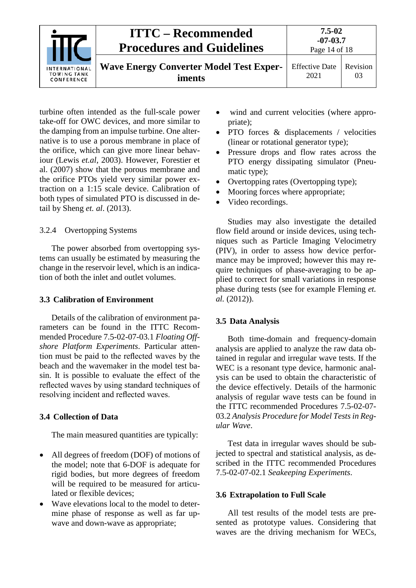

turbine often intended as the full-scale power take-off for OWC devices, and more similar to the damping from an impulse turbine. One alternative is to use a porous membrane in place of the orifice, which can give more linear behaviour (Lewis *et.al*, 2003). However, Forestier et al. (2007) show that the porous membrane and the orifice PTOs yield very similar power extraction on a 1:15 scale device. Calibration of both types of simulated PTO is discussed in detail by Sheng *et. al*. (2013).

## <span id="page-14-0"></span>3.2.4 Overtopping Systems

The power absorbed from overtopping systems can usually be estimated by measuring the change in the reservoir level, which is an indication of both the inlet and outlet volumes.

## <span id="page-14-1"></span>**3.3 Calibration of Environment**

Details of the calibration of environment parameters can be found in the ITTC Recommended Procedure 7.5-02-07-03.1 *Floating Offshore Platform Experiments*. Particular attention must be paid to the reflected waves by the beach and the wavemaker in the model test basin. It is possible to evaluate the effect of the reflected waves by using standard techniques of resolving incident and reflected waves.

## <span id="page-14-2"></span>**3.4 Collection of Data**

The main measured quantities are typically:

- All degrees of freedom (DOF) of motions of the model; note that 6-DOF is adequate for rigid bodies, but more degrees of freedom will be required to be measured for articulated or flexible devices;
- Wave elevations local to the model to determine phase of response as well as far upwave and down-wave as appropriate;
- wind and current velocities (where appropriate);
- PTO forces & displacements / velocities (linear or rotational generator type);
- Pressure drops and flow rates across the PTO energy dissipating simulator (Pneumatic type);
- Overtopping rates (Overtopping type);
- Mooring forces where appropriate;
- Video recordings.

Studies may also investigate the detailed flow field around or inside devices, using techniques such as Particle Imaging Velocimetry (PIV), in order to assess how device performance may be improved; however this may require techniques of phase-averaging to be applied to correct for small variations in response phase during tests (see for example Fleming *et. al.* (2012)).

## <span id="page-14-3"></span>**3.5 Data Analysis**

Both time-domain and frequency-domain analysis are applied to analyze the raw data obtained in regular and irregular wave tests. If the WEC is a resonant type device, harmonic analysis can be used to obtain the characteristic of the device effectively. Details of the harmonic analysis of regular wave tests can be found in the ITTC recommended Procedures 7.5-02-07- 03.2 *Analysis Procedure for Model Tests in Regular Wave*.

Test data in irregular waves should be subjected to spectral and statistical analysis, as described in the ITTC recommended Procedures 7.5-02-07-02.1 *Seakeeping Experiments*.

## <span id="page-14-4"></span>**3.6 Extrapolation to Full Scale**

All test results of the model tests are presented as prototype values. Considering that waves are the driving mechanism for WECs,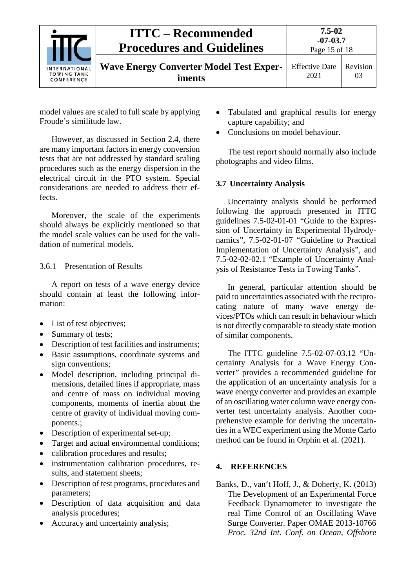

model values are scaled to full scale by applying Froude's similitude law.

However, as discussed in Section [2.4,](#page-4-2) there are many important factors in energy conversion tests that are not addressed by standard scaling procedures such as the energy dispersion in the electrical circuit in the PTO system. Special considerations are needed to address their effects.

Moreover, the scale of the experiments should always be explicitly mentioned so that the model scale values can be used for the validation of numerical models.

#### <span id="page-15-0"></span>3.6.1 Presentation of Results

A report on tests of a wave energy device should contain at least the following information:

- List of test objectives;
- Summary of tests:
- Description of test facilities and instruments;
- Basic assumptions, coordinate systems and sign conventions;
- Model description, including principal dimensions, detailed lines if appropriate, mass and centre of mass on individual moving components, moments of inertia about the centre of gravity of individual moving components.;
- Description of experimental set-up;
- Target and actual environmental conditions;
- calibration procedures and results;
- instrumentation calibration procedures, results, and statement sheets;
- Description of test programs, procedures and parameters;
- Description of data acquisition and data analysis procedures;
- Accuracy and uncertainty analysis;
- Tabulated and graphical results for energy capture capability; and
- Conclusions on model behaviour.

The test report should normally also include photographs and video films.

## <span id="page-15-1"></span>**3.7 Uncertainty Analysis**

Uncertainty analysis should be performed following the approach presented in ITTC guidelines 7.5-02-01-01 "Guide to the Expression of Uncertainty in Experimental Hydrodynamics", 7.5-02-01-07 "Guideline to Practical Implementation of Uncertainty Analysis", and 7.5-02-02-02.1 "Example of Uncertainty Analysis of Resistance Tests in Towing Tanks".

In general, particular attention should be paid to uncertainties associated with the reciprocating nature of many wave energy devices/PTOs which can result in behaviour which is not directly comparable to steady state motion of similar components.

The ITTC guideline 7.5-02-07-03.12 "Uncertainty Analysis for a Wave Energy Converter" provides a recommended guideline for the application of an uncertainty analysis for a wave energy converter and provides an example of an oscillating water column wave energy converter test uncertainty analysis. Another comprehensive example for deriving the uncertainties in a WEC experiment using the Monte Carlo method can be found in Orphin et al. (2021).

## <span id="page-15-2"></span>**4. REFERENCES**

Banks, D., van't Hoff, J., & Doherty, K. (2013) The Development of an Experimental Force Feedback Dynamometer to investigate the real Time Control of an Oscillating Wave Surge Converter. Paper OMAE 2013-10766 *Proc. 32nd Int. Conf. on Ocean, Offshore*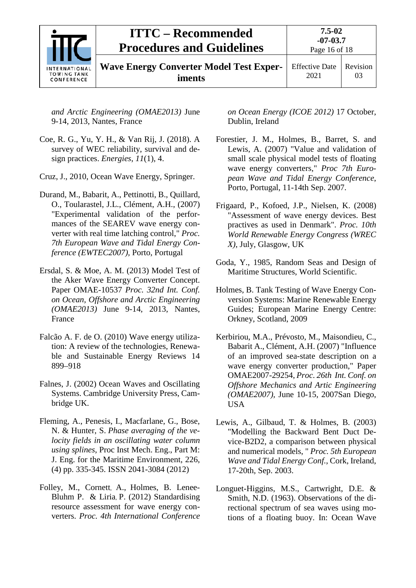| <b>INTERNATIONAL</b><br><b>TOWING TANK</b><br>CONFERENCE | <b>ITTC – Recommended</b><br><b>Procedures and Guidelines</b> | 7.5-02<br>$-07-03.7$<br>Page 16 of 18 |          |
|----------------------------------------------------------|---------------------------------------------------------------|---------------------------------------|----------|
|                                                          | <b>Wave Energy Converter Model Test Exper-</b><br>iments      | <b>Effective Date</b><br>2021         | Revision |

*and Arctic Engineering (OMAE2013)* June 9-14, 2013, Nantes, France

- Coe, R. G., Yu, Y. H., & Van Rij, J. (2018). A survey of WEC reliability, survival and design practices. *Energies*, *11*(1), 4.
- Cruz, J., 2010, Ocean Wave Energy, Springer.
- Durand, M., Babarit, A., Pettinotti, B., Quillard, O., Toularastel, J.L., Clément, A.H., (2007) "Experimental validation of the performances of the SEAREV wave energy converter with real time latching control," *Proc. 7th European Wave and Tidal Energy Conference (EWTEC2007),* Porto, Portugal
- Ersdal, S. & Moe, A. M. (2013) Model Test of the Aker Wave Energy Converter Concept. Paper OMAE-10537 *Proc. 32nd Int. Conf. on Ocean, Offshore and Arctic Engineering (OMAE2013)* June 9-14, 2013, Nantes, France
- Falcão A. F. de O. (2010) Wave energy utilization: A review of the technologies, Renewable and Sustainable Energy Reviews 14 899–918
- Falnes, J. (2002) Ocean Waves and Oscillating Systems. Cambridge University Press, Cambridge UK.
- Fleming, A., Penesis, I., Macfarlane, G., Bose, N. & Hunter, S. *Phase [averaging](http://ecite.utas.edu.au/78387) of the velocity fields in an [oscillating](http://ecite.utas.edu.au/78387) water column using [splines](http://ecite.utas.edu.au/78387)*, Proc Inst Mech. Eng., Part M: J. Eng. for the Maritime Environment, 226, (4) pp. 335-345. ISSN 2041-3084 (2012)
- Folley, M., Cornett, A., Holmes, B. Lenee-Bluhm P. & Liria, P. (2012) Standardising resource assessment for wave energy converters. *Proc. 4th International Conference*

*on Ocean Energy (ICOE 2012)* 17 October, Dublin, Ireland

- Forestier, J. M., Holmes, B., Barret, S. and Lewis, A. (2007) "Value and validation of small scale physical model tests of floating wave energy converters," *Proc 7th European Wave and Tidal Energy Conference*, Porto, Portugal, 11-14th Sep. 2007.
- Frigaard, P., Kofoed, J.P., Nielsen, K. (2008) "Assessment of wave energy devices. Best practives as used in Denmark". *Proc. 10th World Renewable Energy Congress (WREC X)*, July, Glasgow, UK
- Goda, Y., 1985, Random Seas and Design of Maritime Structures, World Scientific.
- Holmes, B. Tank Testing of Wave Energy Conversion Systems: Marine Renewable Energy Guides; European Marine Energy Centre: Orkney, Scotland, 2009
- Kerbiriou, M.A., Prévosto, M., Maisondieu, C., Babarit A., Clément, A.H. (2007) "Influence of an improved sea-state description on a wave energy converter production," Paper OMAE2007-29254, *Proc. 26th Int. Conf. on Offshore Mechanics and Artic Engineering (OMAE2007),* June 10-15, 2007San Diego, **USA**
- Lewis, A., Gilbaud, T. & Holmes, B. (2003) "Modelling the Backward Bent Duct Device-B2D2, a comparison between physical and numerical models, " *Proc. 5th European Wave and Tidal Energy Conf.*, Cork, Ireland, 17-20th, Sep. 2003.
- Longuet-Higgins, M.S., Cartwright, D.E. & Smith, N.D. (1963). Observations of the directional spectrum of sea waves using motions of a floating buoy. In: Ocean Wave